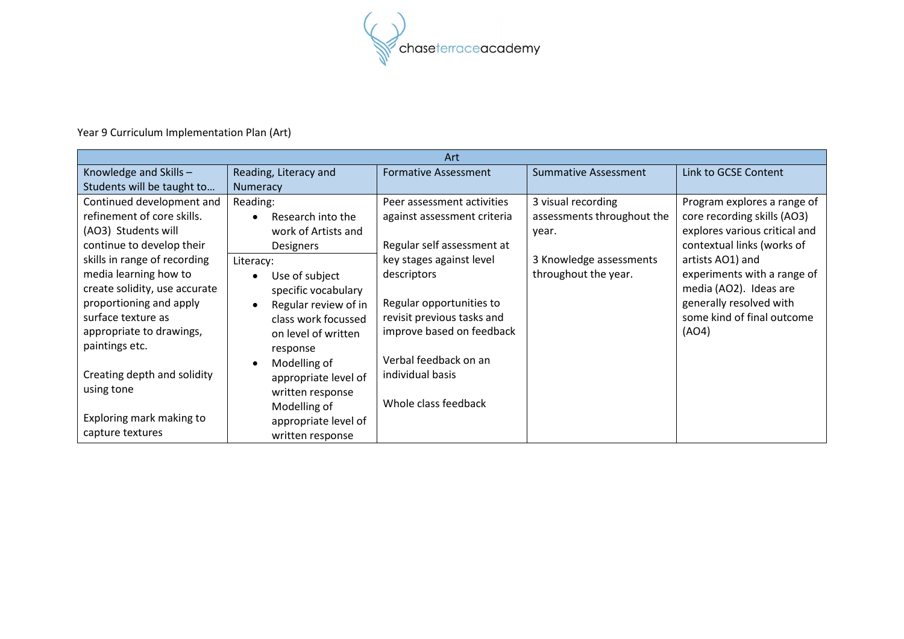

## Year 9 Curriculum Implementation Plan (Art)

| Art                                                                                                                                                                                   |                                                                                                                                                      |                                                                                                                                                         |                                                  |                                                                                                                                             |  |  |  |
|---------------------------------------------------------------------------------------------------------------------------------------------------------------------------------------|------------------------------------------------------------------------------------------------------------------------------------------------------|---------------------------------------------------------------------------------------------------------------------------------------------------------|--------------------------------------------------|---------------------------------------------------------------------------------------------------------------------------------------------|--|--|--|
| Knowledge and Skills -                                                                                                                                                                | Reading, Literacy and                                                                                                                                | <b>Formative Assessment</b>                                                                                                                             | <b>Summative Assessment</b>                      | Link to GCSE Content                                                                                                                        |  |  |  |
| Students will be taught to                                                                                                                                                            | Numeracy                                                                                                                                             |                                                                                                                                                         |                                                  |                                                                                                                                             |  |  |  |
| Continued development and<br>refinement of core skills.<br>(AO3) Students will                                                                                                        | Reading:<br>Research into the                                                                                                                        | Peer assessment activities<br>against assessment criteria                                                                                               | 3 visual recording<br>assessments throughout the | Program explores a range of<br>core recording skills (AO3)<br>explores various critical and                                                 |  |  |  |
| continue to develop their                                                                                                                                                             | work of Artists and<br>Designers                                                                                                                     | Regular self assessment at                                                                                                                              | year.                                            | contextual links (works of                                                                                                                  |  |  |  |
| skills in range of recording<br>media learning how to<br>create solidity, use accurate<br>proportioning and apply<br>surface texture as<br>appropriate to drawings,<br>paintings etc. | Literacy:<br>Use of subject<br>specific vocabulary<br>Regular review of in<br>class work focussed<br>on level of written<br>response<br>Modelling of | key stages against level<br>descriptors<br>Regular opportunities to<br>revisit previous tasks and<br>improve based on feedback<br>Verbal feedback on an | 3 Knowledge assessments<br>throughout the year.  | artists AO1) and<br>experiments with a range of<br>media (AO2). Ideas are<br>generally resolved with<br>some kind of final outcome<br>(AO4) |  |  |  |
| Creating depth and solidity<br>using tone<br>Exploring mark making to<br>capture textures                                                                                             | appropriate level of<br>written response<br>Modelling of<br>appropriate level of<br>written response                                                 | individual basis<br>Whole class feedback                                                                                                                |                                                  |                                                                                                                                             |  |  |  |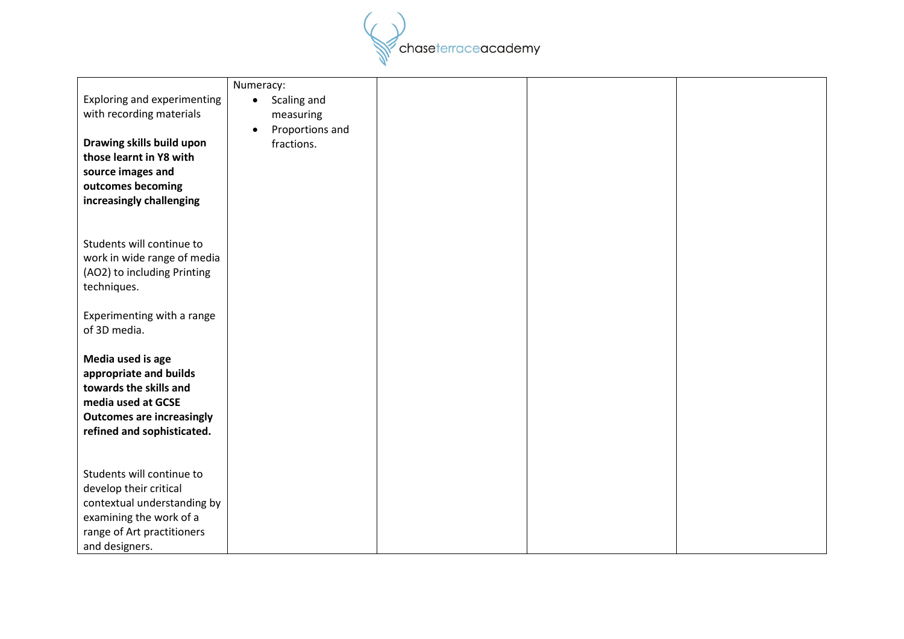

|                                  | Numeracy:                    |  |  |
|----------------------------------|------------------------------|--|--|
| Exploring and experimenting      | Scaling and<br>$\bullet$     |  |  |
| with recording materials         | measuring                    |  |  |
|                                  | Proportions and<br>$\bullet$ |  |  |
| Drawing skills build upon        | fractions.                   |  |  |
| those learnt in Y8 with          |                              |  |  |
| source images and                |                              |  |  |
| outcomes becoming                |                              |  |  |
| increasingly challenging         |                              |  |  |
|                                  |                              |  |  |
|                                  |                              |  |  |
| Students will continue to        |                              |  |  |
| work in wide range of media      |                              |  |  |
| (AO2) to including Printing      |                              |  |  |
| techniques.                      |                              |  |  |
|                                  |                              |  |  |
|                                  |                              |  |  |
| Experimenting with a range       |                              |  |  |
| of 3D media.                     |                              |  |  |
|                                  |                              |  |  |
| Media used is age                |                              |  |  |
| appropriate and builds           |                              |  |  |
| towards the skills and           |                              |  |  |
| media used at GCSE               |                              |  |  |
| <b>Outcomes are increasingly</b> |                              |  |  |
| refined and sophisticated.       |                              |  |  |
|                                  |                              |  |  |
|                                  |                              |  |  |
| Students will continue to        |                              |  |  |
| develop their critical           |                              |  |  |
| contextual understanding by      |                              |  |  |
| examining the work of a          |                              |  |  |
| range of Art practitioners       |                              |  |  |
| and designers.                   |                              |  |  |